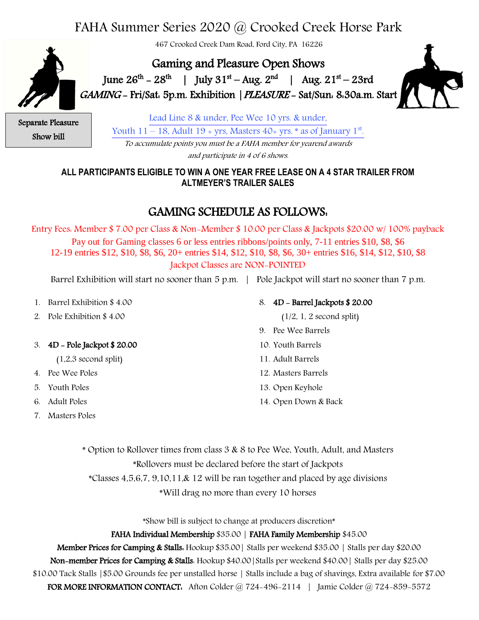# FAHA Summer Series 2020 @ Crooked Creek Horse Park

467 Crooked Creek Dam Road, Ford City, PA 16226

Gaming and Pleasure Open Shows **1** June  $26^{th} - 28^{th}$  | July  $31^{st} - Aug. 2^{nd}$  | Aug.  $21^{st} - 23rd$ GAMING - Fri/Sat: 5p.m. Exhibition |PLEASURE - Sat/Sun: 8:30a.m. Start



Separate Pleasure Show bill

Lead Line 8 & under, Pee Wee 10 yrs. & under, Youth  $11-18$ , Adult  $19$  + yrs, Masters  $40$ + yrs.  $*$  as of January  $1<sup>st</sup>$ . To accumulate points you must be a FAHA member for yearend awards

and participate in 4 of 6 shows.

### **ALL PARTICIPANTS ELIGIBLE TO WIN A ONE YEAR FREE LEASE ON A 4 STAR TRAILER FROM ALTMEYER'S TRAILER SALES**

## GAMING SCHEDULE AS FOLLOWS:

Entry Fees: Member \$ 7.00 per Class & Non-Member \$ 10.00 per Class & Jackpots \$20.00 w/ 100% payback Pay out for Gaming classes 6 or less entries ribbons/points only, 7-11 entries \$10, \$8, \$6 12-19 entries \$12, \$10, \$8, \$6, 20+ entries \$14, \$12, \$10, \$8, \$6, 30+ entries \$16, \$14, \$12, \$10, \$8 Jackpot Classes are NON-POINTED

Barrel Exhibition will start no sooner than 5 p.m. | Pole Jackpot will start no sooner than 7 p.m.

- 1. Barrel Exhibition \$ 4.00
- 2. Pole Exhibition \$ 4.00

#### 3. 4D - Pole Jackpot \$ 20.00

- (1,2,3 second split)
- 4. Pee Wee Poles
- 5. Youth Poles
- 6. Adult Poles
- 7. Masters Poles

#### 8. 4D - Barrel Jackpots \$ 20.00

 $(1/2, 1, 2$  second split)

- 9. Pee Wee Barrels
- 10. Youth Barrels
- 11. Adult Barrels
- 12. Masters Barrels
- 13. Open Keyhole
- 14. Open Down & Back

\* Option to Rollover times from class 3 & 8 to Pee Wee, Youth, Adult, and Masters \*Rollovers must be declared before the start of Jackpots \*Classes 4,5,6,7, 9,10,11,& 12 will be ran together and placed by age divisions \*Will drag no more than every 10 horses

\*Show bill is subject to change at producers discretion\*

#### FAHA Individual Membership \$35.00 | FAHA Family Membership \$45.00

Member Prices for Camping & Stalls: Hookup \$35.00| Stalls per weekend \$35.00 | Stalls per day \$20.00 Non-member Prices for Camping & Stalls: Hookup \$40.00|Stalls per weekend \$40.00| Stalls per day \$25.00 \$10.00 Tack Stalls |\$5.00 Grounds fee per unstalled horse | Stalls include a bag of shavings, Extra available for \$7.00 FOR MORE INFORMATION CONTACT: Afton Colder @ 724-496-2114 | Jamie Colder @ 724-859-5572